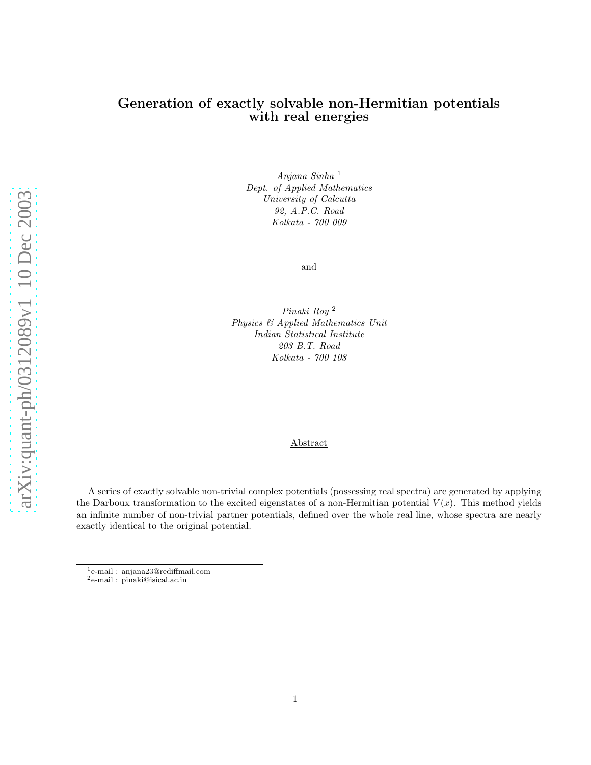# Generation of exactly solvable non-Hermitian potentials with real energies

Anjana Sinha <sup>1</sup> Dept. of Applied Mathematics University of Calcutta 92, A.P.C. Road Kolkata - 700 009

and

Pinaki Roy <sup>2</sup> Physics & Applied Mathematics Unit Indian Statistical Institute 203 B.T. Road Kolkata - 700 108

#### Abstract

A series of exactly solvable non-trivial complex potentials (possessing real spectra) are generated by applying the Darboux transformation to the excited eigenstates of a non-Hermitian potential  $V(x)$ . This method yields an infinite number of non-trivial partner potentials, defined over the whole real line, whose spectra are nearly exactly identical to the original potential.

<sup>1</sup> e-mail : anjana23@rediffmail.com

<sup>2</sup> e-mail : pinaki@isical.ac.in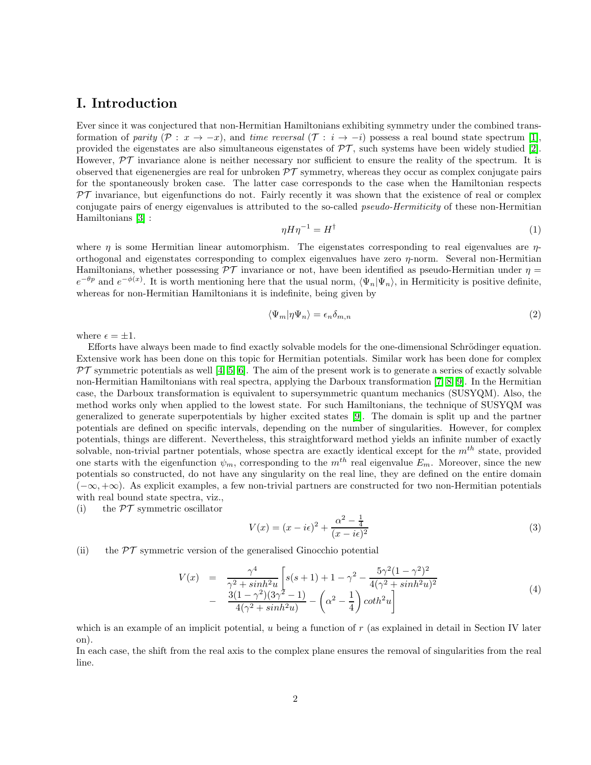# I. Introduction

Ever since it was conjectured that non-Hermitian Hamiltonians exhibiting symmetry under the combined transformation of parity  $(\mathcal{P}: x \to -x)$ , and time reversal  $(\mathcal{T}: i \to -i)$  possess a real bound state spectrum [\[1\]](#page-8-0), provided the eigenstates are also simultaneous eigenstates of  $\mathcal{PT}$ , such systems have been widely studied [\[2\]](#page-8-1). However,  $\mathcal{PT}$  invariance alone is neither necessary nor sufficient to ensure the reality of the spectrum. It is observed that eigenenergies are real for unbroken  $\mathcal{PT}$  symmetry, whereas they occur as complex conjugate pairs for the spontaneously broken case. The latter case corresponds to the case when the Hamiltonian respects  $PT$  invariance, but eigenfunctions do not. Fairly recently it was shown that the existence of real or complex conjugate pairs of energy eigenvalues is attributed to the so-called *pseudo-Hermiticity* of these non-Hermitian Hamiltonians [\[3\]](#page-8-2) :

$$
\eta H \eta^{-1} = H^{\dagger} \tag{1}
$$

where  $\eta$  is some Hermitian linear automorphism. The eigenstates corresponding to real eigenvalues are  $\eta$ orthogonal and eigenstates corresponding to complex eigenvalues have zero  $\eta$ -norm. Several non-Hermitian Hamiltonians, whether possessing  $\mathcal{PT}$  invariance or not, have been identified as pseudo-Hermitian under  $\eta =$  $e^{-\theta p}$  and  $e^{-\phi(x)}$ . It is worth mentioning here that the usual norm,  $\langle \Psi_n | \Psi_n \rangle$ , in Hermiticity is positive definite, whereas for non-Hermitian Hamiltonians it is indefinite, being given by

$$
\langle \Psi_m | \eta \Psi_n \rangle = \epsilon_n \delta_{m,n} \tag{2}
$$

where  $\epsilon = \pm 1$ .

Efforts have always been made to find exactly solvable models for the one-dimensional Schrödinger equation. Extensive work has been done on this topic for Hermitian potentials. Similar work has been done for complex  $PT$  symmetric potentials as well [\[4,](#page-8-3) [5,](#page-8-4) [6\]](#page-8-5). The aim of the present work is to generate a series of exactly solvable non-Hermitian Hamiltonians with real spectra, applying the Darboux transformation [\[7,](#page-8-6) [8,](#page-8-7) [9\]](#page-8-8). In the Hermitian case, the Darboux transformation is equivalent to supersymmetric quantum mechanics (SUSYQM). Also, the method works only when applied to the lowest state. For such Hamiltonians, the technique of SUSYQM was generalized to generate superpotentials by higher excited states [\[9\]](#page-8-8). The domain is split up and the partner potentials are defined on specific intervals, depending on the number of singularities. However, for complex potentials, things are different. Nevertheless, this straightforward method yields an infinite number of exactly solvable, non-trivial partner potentials, whose spectra are exactly identical except for the  $m^{th}$  state, provided one starts with the eigenfunction  $\psi_m$ , corresponding to the  $m^{th}$  real eigenvalue  $E_m$ . Moreover, since the new potentials so constructed, do not have any singularity on the real line, they are defined on the entire domain (−∞, +∞). As explicit examples, a few non-trivial partners are constructed for two non-Hermitian potentials with real bound state spectra, viz.,

(i) the  $\mathcal{PT}$  symmetric oscillator

$$
V(x) = (x - i\epsilon)^2 + \frac{\alpha^2 - \frac{1}{4}}{(x - i\epsilon)^2}
$$
\n(3)

(ii) the  $\mathcal{PT}$  symmetric version of the generalised Ginocchio potential

$$
V(x) = \frac{\gamma^4}{\gamma^2 + \sinh^2 u} \left[ s(s+1) + 1 - \gamma^2 - \frac{5\gamma^2 (1-\gamma^2)^2}{4(\gamma^2 + \sinh^2 u)^2} - \frac{3(1-\gamma^2)(3\gamma^2 - 1)}{4(\gamma^2 + \sinh^2 u)} - \left( \alpha^2 - \frac{1}{4} \right) \coth^2 u \right]
$$
\n(4)

which is an example of an implicit potential, u being a function of  $r$  (as explained in detail in Section IV later on).

In each case, the shift from the real axis to the complex plane ensures the removal of singularities from the real line.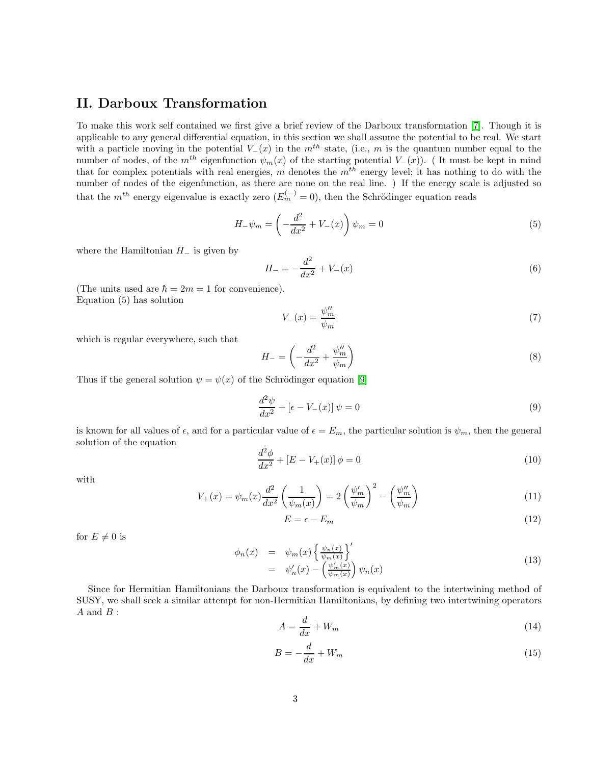# II. Darboux Transformation

To make this work self contained we first give a brief review of the Darboux transformation [\[7\]](#page-8-6). Though it is applicable to any general differential equation, in this section we shall assume the potential to be real. We start with a particle moving in the potential  $V_-(x)$  in the  $m^{th}$  state, (i.e., m is the quantum number equal to the number of nodes, of the  $m^{th}$  eigenfunction  $\psi_m(x)$  of the starting potential  $V_-(x)$ ). (It must be kept in mind that for complex potentials with real energies, m denotes the  $m<sup>th</sup>$  energy level; it has nothing to do with the number of nodes of the eigenfunction, as there are none on the real line. ) If the energy scale is adjusted so that the  $m^{th}$  energy eigenvalue is exactly zero  $(E_m^{(-)} = 0)$ , then the Schrödinger equation reads

$$
H_{-}\psi_{m} = \left(-\frac{d^{2}}{dx^{2}} + V_{-}(x)\right)\psi_{m} = 0
$$
\n(5)

where the Hamiltonian  $H_-\$  is given by

$$
H_{-} = -\frac{d^2}{dx^2} + V_{-}(x)
$$
\n(6)

(The units used are  $\hbar = 2m = 1$  for convenience). Equation (5) has solution

$$
V_{-}(x) = \frac{\psi_{m}^{\prime\prime}}{\psi_{m}}\tag{7}
$$

which is regular everywhere, such that

$$
H_{-} = \left(-\frac{d^2}{dx^2} + \frac{\psi_m^{\prime\prime}}{\psi_m}\right) \tag{8}
$$

Thus if the general solution  $\psi = \psi(x)$  of the Schrödinger equation [\[9\]](#page-8-8)

$$
\frac{d^2\psi}{dx^2} + \left[\epsilon - V_-(x)\right]\psi = 0\tag{9}
$$

is known for all values of  $\epsilon$ , and for a particular value of  $\epsilon = E_m$ , the particular solution is  $\psi_m$ , then the general solution of the equation

$$
\frac{d^2\phi}{dx^2} + [E - V_+(x)]\phi = 0\tag{10}
$$

with

$$
V_{+}(x) = \psi_{m}(x) \frac{d^{2}}{dx^{2}} \left(\frac{1}{\psi_{m}(x)}\right) = 2\left(\frac{\psi_{m}'}{\psi_{m}}\right)^{2} - \left(\frac{\psi_{m}''}{\psi_{m}}\right)
$$
(11)

$$
E = \epsilon - E_m \tag{12}
$$

for  $E \neq 0$  is

$$
\begin{array}{rcl}\n\phi_n(x) & = & \psi_m(x) \left\{ \frac{\psi_n(x)}{\psi_m(x)} \right\}' \\
& = & \psi_n'(x) - \left( \frac{\psi_m'(x)}{\psi_m(x)} \right) \psi_n(x)\n\end{array} \tag{13}
$$

Since for Hermitian Hamiltonians the Darboux transformation is equivalent to the intertwining method of SUSY, we shall seek a similar attempt for non-Hermitian Hamiltonians, by defining two intertwining operators  $A$  and  $B$  :

$$
A = \frac{d}{dx} + W_m \tag{14}
$$

$$
B = -\frac{d}{dx} + W_m \tag{15}
$$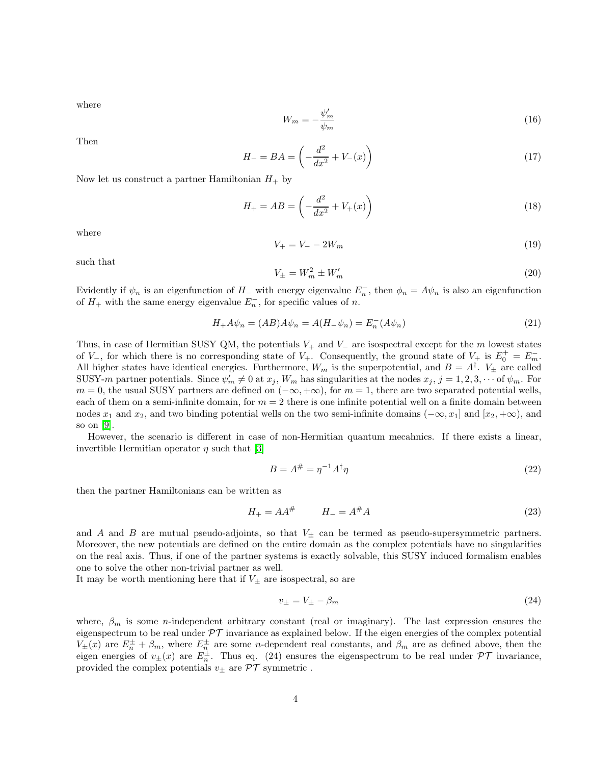where

$$
W_m = -\frac{\psi_m'}{\psi_m} \tag{16}
$$

Then

$$
H_{-} = BA = \left(-\frac{d^2}{dx^2} + V_{-}(x)\right)
$$
\n(17)

Now let us construct a partner Hamiltonian  $H_+$  by

$$
H_{+} = AB = \left(-\frac{d^{2}}{dx^{2}} + V_{+}(x)\right)
$$
\n(18)

where

$$
V_{+} = V_{-} - 2W_{m} \tag{19}
$$

such that

$$
V_{\pm} = W_m^2 \pm W_m'
$$
\n<sup>(20)</sup>

Evidently if  $\psi_n$  is an eigenfunction of H<sub>−</sub> with energy eigenvalue  $E_n^-$ , then  $\phi_n = A\psi_n$  is also an eigenfunction of  $H_+$  with the same energy eigenvalue  $E_n^-$ , for specific values of n.

$$
H_{+}A\psi_{n} = (AB)A\psi_{n} = A(H_{-}\psi_{n}) = E_{n}^{-}(A\psi_{n})
$$
\n(21)

Thus, in case of Hermitian SUSY QM, the potentials  $V_+$  and  $V_-$  are isospectral except for the m lowest states of  $V_$ , for which there is no corresponding state of  $V_+$ . Consequently, the ground state of  $V_+$  is  $E_0^+ = E_m^-$ . All higher states have identical energies. Furthermore,  $W_m$  is the superpotential, and  $B = A^{\dagger}$ .  $V_{\pm}$  are called SUSY-m partner potentials. Since  $\psi'_m \neq 0$  at  $x_j$ ,  $W_m$  has singularities at the nodes  $x_j$ ,  $j = 1, 2, 3, \cdots$  of  $\psi_m$ . For  $m = 0$ , the usual SUSY partners are defined on  $(-\infty, +\infty)$ , for  $m = 1$ , there are two separated potential wells, each of them on a semi-infinite domain, for  $m = 2$  there is one infinite potential well on a finite domain between nodes  $x_1$  and  $x_2$ , and two binding potential wells on the two semi-infinite domains  $(-\infty, x_1]$  and  $[x_2, +\infty)$ , and so on [\[9\]](#page-8-8).

However, the scenario is different in case of non-Hermitian quantum mecahnics. If there exists a linear, invertible Hermitian operator  $\eta$  such that [\[3\]](#page-8-2)

$$
B = A^{\#} = \eta^{-1} A^{\dagger} \eta \tag{22}
$$

then the partner Hamiltonians can be written as

$$
H_{+} = AA^{\#} \qquad H_{-} = A^{\#}A \tag{23}
$$

and A and B are mutual pseudo-adjoints, so that  $V_{\pm}$  can be termed as pseudo-supersymmetric partners. Moreover, the new potentials are defined on the entire domain as the complex potentials have no singularities on the real axis. Thus, if one of the partner systems is exactly solvable, this SUSY induced formalism enables one to solve the other non-trivial partner as well.

It may be worth mentioning here that if  $V_{\pm}$  are isospectral, so are

$$
v_{\pm} = V_{\pm} - \beta_m \tag{24}
$$

where,  $\beta_m$  is some *n*-independent arbitrary constant (real or imaginary). The last expression ensures the eigenspectrum to be real under  $\mathcal{PT}$  invariance as explained below. If the eigen energies of the complex potential  $V_{\pm}(x)$  are  $E_{n}^{\pm} + \beta_{m}$ , where  $E_{n}^{\pm}$  are some *n*-dependent real constants, and  $\beta_{m}$  are as defined above, then the eigen energies of  $v_{\pm}(x)$  are  $E_n^{\pm}$ . Thus eq. (24) ensures the eigenspectrum to be real under  $\mathcal{PT}$  invariance, provided the complex potentials  $v_{\pm}$  are  $\mathcal{PT}$  symmetric.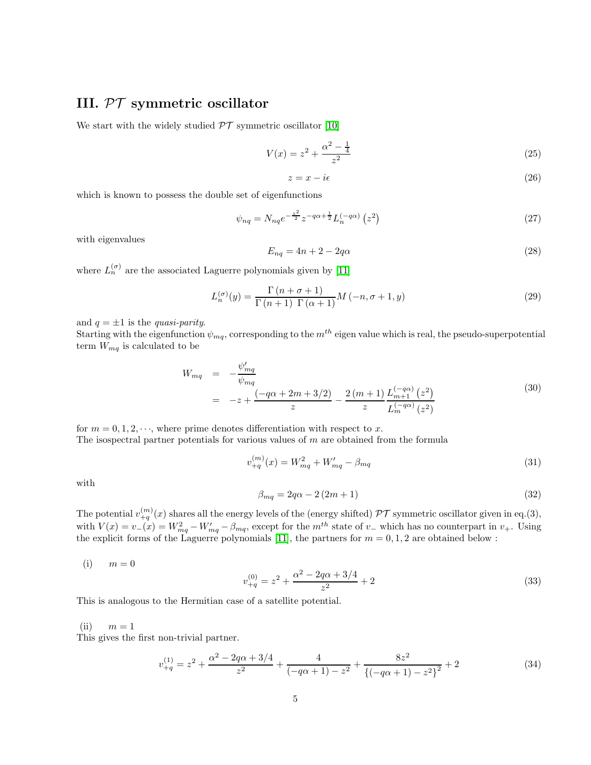# III. PT symmetric oscillator

We start with the widely studied  $\mathcal{PT}$  symmetric oscillator [\[10\]](#page-8-9)

$$
V(x) = z^2 + \frac{\alpha^2 - \frac{1}{4}}{z^2} \tag{25}
$$

$$
z = x - i\epsilon \tag{26}
$$

which is known to possess the double set of eigenfunctions

$$
\psi_{nq} = N_{nq} e^{-\frac{z^2}{2}} z^{-q\alpha + \frac{1}{2}} L_n^{(-q\alpha)} \left( z^2 \right) \tag{27}
$$

with eigenvalues

$$
E_{nq} = 4n + 2 - 2q\alpha \tag{28}
$$

where  $L_n^{(\sigma)}$  are the associated Laguerre polynomials given by [\[11\]](#page-8-10)

$$
L_n^{(\sigma)}(y) = \frac{\Gamma(n+\sigma+1)}{\Gamma(n+1)\Gamma(\alpha+1)} M(-n,\sigma+1,y)
$$
\n(29)

and  $q = \pm 1$  is the *quasi-parity*.

Starting with the eigenfunction  $\psi_{mq}$ , corresponding to the  $m^{th}$  eigen value which is real, the pseudo-superpotential term  $W_{mq}$  is calculated to be

$$
W_{mq} = -\frac{\psi'_{mq}}{\psi_{mq}}
$$
  
=  $-z + \frac{(-q\alpha + 2m + 3/2)}{z} - \frac{2(m+1)}{z} \frac{L_{m+1}^{(-q\alpha)}(z^2)}{L_m^{(-q\alpha)}(z^2)}$  (30)

for  $m = 0, 1, 2, \dots$ , where prime denotes differentiation with respect to x. The isospectral partner potentials for various values of  $m$  are obtained from the formula

$$
v_{+q}^{(m)}(x) = W_{mq}^2 + W_{mq}' - \beta_{mq}
$$
\n(31)

with

$$
\beta_{mq} = 2q\alpha - 2(2m+1) \tag{32}
$$

The potential  $v_{+q}^{(m)}(x)$  shares all the energy levels of the (energy shifted)  $\mathcal{PT}$  symmetric oscillator given in eq.(3), with  $V(x) = v_-(x) = W_{mq}^2 - W_{mq}' - \beta_{mq}$ , except for the  $m^{th}$  state of  $v_-$  which has no counterpart in  $v_+$ . Using the explicit forms of the Laguerre polynomials [\[11\]](#page-8-10), the partners for  $m = 0, 1, 2$  are obtained below :

 $(i)$   $m = 0$ 

$$
v_{+q}^{(0)} = z^2 + \frac{\alpha^2 - 2q\alpha + 3/4}{z^2} + 2
$$
\n(33)

This is analogous to the Hermitian case of a satellite potential.

 $(ii)$   $m = 1$ 

This gives the first non-trivial partner.

$$
v_{+q}^{(1)} = z^2 + \frac{\alpha^2 - 2q\alpha + 3/4}{z^2} + \frac{4}{(-q\alpha + 1) - z^2} + \frac{8z^2}{\left\{(-q\alpha + 1) - z^2\right\}^2} + 2\tag{34}
$$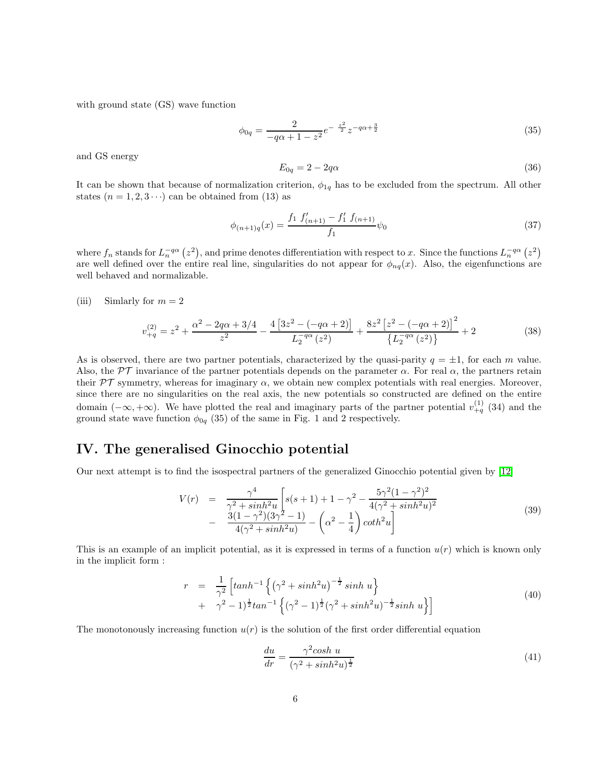with ground state (GS) wave function

$$
\phi_{0q} = \frac{2}{-q\alpha + 1 - z^2} e^{-\frac{z^2}{2}} z^{-q\alpha + \frac{3}{2}}
$$
\n(35)

and GS energy

$$
E_{0q} = 2 - 2q\alpha \tag{36}
$$

It can be shown that because of normalization criterion,  $\phi_{1q}$  has to be excluded from the spectrum. All other states  $(n = 1, 2, 3 \cdots)$  can be obtained from (13) as

$$
\phi_{(n+1)q}(x) = \frac{f_1 f'_{(n+1)} - f'_1 f_{(n+1)}}{f_1} \psi_0
$$
\n(37)

where  $f_n$  stands for  $L_n^{-q\alpha}(z^2)$ , and prime denotes differentiation with respect to x. Since the functions  $L_n^{-q\alpha}(z^2)$ are well defined over the entire real line, singularities do not appear for  $\phi_{nq}(x)$ . Also, the eigenfunctions are well behaved and normalizable.

(iii) Simlarly for  $m = 2$ 

$$
v_{+q}^{(2)} = z^2 + \frac{\alpha^2 - 2q\alpha + 3/4}{z^2} - \frac{4\left[3z^2 - (-q\alpha + 2)\right]}{L_2^{-q\alpha}(z^2)} + \frac{8z^2\left[z^2 - (-q\alpha + 2)\right]^2}{\left\{L_2^{-q\alpha}(z^2)\right\}} + 2\tag{38}
$$

As is observed, there are two partner potentials, characterized by the quasi-parity  $q = \pm 1$ , for each m value. Also, the  $\mathcal{PT}$  invariance of the partner potentials depends on the parameter  $\alpha$ . For real  $\alpha$ , the partners retain their  $\mathcal{PT}$  symmetry, whereas for imaginary  $\alpha$ , we obtain new complex potentials with real energies. Moreover, since there are no singularities on the real axis, the new potentials so constructed are defined on the entire domain  $(-\infty, +\infty)$ . We have plotted the real and imaginary parts of the partner potential  $v_{+q}^{(1)}$  (34) and the ground state wave function  $\phi_{0q}$  (35) of the same in Fig. 1 and 2 respectively.

#### IV. The generalised Ginocchio potential

Our next attempt is to find the isospectral partners of the generalized Ginocchio potential given by [\[12\]](#page-8-11)

$$
V(r) = \frac{\gamma^4}{\gamma^2 + \sinh^2 u} \left[ s(s+1) + 1 - \gamma^2 - \frac{5\gamma^2 (1 - \gamma^2)^2}{4(\gamma^2 + \sinh^2 u)^2} - \frac{3(1 - \gamma^2)(3\gamma^2 - 1)}{4(\gamma^2 + \sinh^2 u)} - \left( \alpha^2 - \frac{1}{4} \right) \coth^2 u \right]
$$
(39)

This is an example of an implicit potential, as it is expressed in terms of a function  $u(r)$  which is known only in the implicit form :

$$
r = \frac{1}{\gamma^2} \left[ \tanh^{-1} \left\{ (\gamma^2 + \sinh^2 u)^{-\frac{1}{2}} \sinh u \right\} + \gamma^2 - 1 \right]^{\frac{1}{2}} \tan^{-1} \left\{ (\gamma^2 - 1)^{\frac{1}{2}} (\gamma^2 + \sinh^2 u)^{-\frac{1}{2}} \sinh u \right\} \right]
$$
(40)

The monotonously increasing function  $u(r)$  is the solution of the first order differential equation

$$
\frac{du}{dr} = \frac{\gamma^2 \cosh u}{(\gamma^2 + \sinh^2 u)^{\frac{1}{2}}} \tag{41}
$$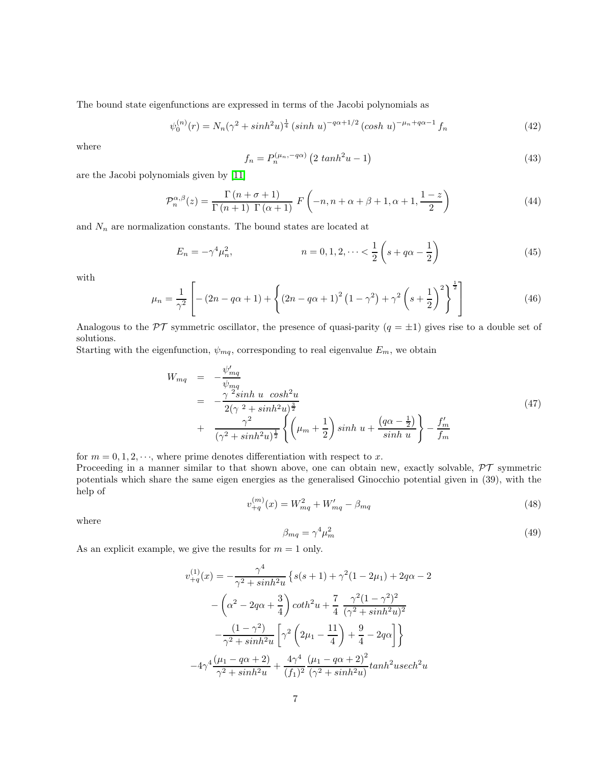The bound state eigenfunctions are expressed in terms of the Jacobi polynomials as

$$
\psi_0^{(n)}(r) = N_n(\gamma^2 + \sinh^2 u)^{\frac{1}{4}} (\sinh u)^{-q\alpha + 1/2} (\cosh u)^{-\mu_n + q\alpha - 1} f_n \tag{42}
$$

where

$$
f_n = P_n^{(\mu_n, -q\alpha)} \left( 2 \tanh^2 u - 1 \right) \tag{43}
$$

are the Jacobi polynomials given by [\[11\]](#page-8-10)

$$
\mathcal{P}_n^{\alpha,\beta}(z) = \frac{\Gamma(n+\sigma+1)}{\Gamma(n+1)\Gamma(\alpha+1)} F\left(-n, n+\alpha+\beta+1, \alpha+1, \frac{1-z}{2}\right)
$$
(44)

and  $\mathcal{N}_n$  are normalization constants. The bound states are located at

$$
E_n = -\gamma^4 \mu_n^2, \qquad n = 0, 1, 2, \dots < \frac{1}{2} \left( s + q\alpha - \frac{1}{2} \right) \tag{45}
$$

with

$$
\mu_n = \frac{1}{\gamma^2} \left[ - (2n - q\alpha + 1) + \left\{ (2n - q\alpha + 1)^2 (1 - \gamma^2) + \gamma^2 \left( s + \frac{1}{2} \right)^2 \right\}^{\frac{1}{2}} \right] \tag{46}
$$

Analogous to the  $\mathcal{PT}$  symmetric oscillator, the presence of quasi-parity  $(q = \pm 1)$  gives rise to a double set of solutions.

Starting with the eigenfunction,  $\psi_{mq}$ , corresponding to real eigenvalue  $E_m$ , we obtain

$$
W_{mq} = -\frac{\psi'_{mq}}{\psi_{mq}} = -\frac{\gamma^2 sinh \ u \ cosh^2 u}{2(\gamma^2 + sinh^2 u)^{\frac{3}{2}}} + \frac{\gamma^2}{(\gamma^2 + sinh^2 u)^{\frac{1}{2}}} \left\{ \left( \mu_m + \frac{1}{2} \right) sinh \ u + \frac{(q\alpha - \frac{1}{2})}{sinh u} \right\} - \frac{f'_m}{f_m}
$$
(47)

for  $m = 0, 1, 2, \dots$ , where prime denotes differentiation with respect to x.

Proceeding in a manner similar to that shown above, one can obtain new, exactly solvable,  $\mathcal{PT}$  symmetric potentials which share the same eigen energies as the generalised Ginocchio potential given in (39), with the help of

$$
v_{+q}^{(m)}(x) = W_{mq}^2 + W_{mq}' - \beta_{mq} \tag{48}
$$

where

$$
\beta_{mq} = \gamma^4 \mu_m^2 \tag{49}
$$

As an explicit example, we give the results for  $m = 1$  only.

$$
v_{+q}^{(1)}(x) = -\frac{\gamma^4}{\gamma^2 + \sinh^2 u} \left\{ s(s+1) + \gamma^2 (1 - 2\mu_1) + 2q\alpha - 2 \right.
$$
  

$$
- \left( \alpha^2 - 2q\alpha + \frac{3}{4} \right) \coth^2 u + \frac{7}{4} \frac{\gamma^2 (1 - \gamma^2)^2}{(\gamma^2 + \sinh^2 u)^2}
$$
  

$$
- \frac{(1 - \gamma^2)}{\gamma^2 + \sinh^2 u} \left[ \gamma^2 \left( 2\mu_1 - \frac{11}{4} \right) + \frac{9}{4} - 2q\alpha \right] \right\}
$$
  

$$
-4\gamma^4 \frac{(\mu_1 - q\alpha + 2)}{\gamma^2 + \sinh^2 u} + \frac{4\gamma^4}{(f_1)^2} \frac{(\mu_1 - q\alpha + 2)^2}{(\gamma^2 + \sinh^2 u)} \tanh^2 u \operatorname{sech}^2 u
$$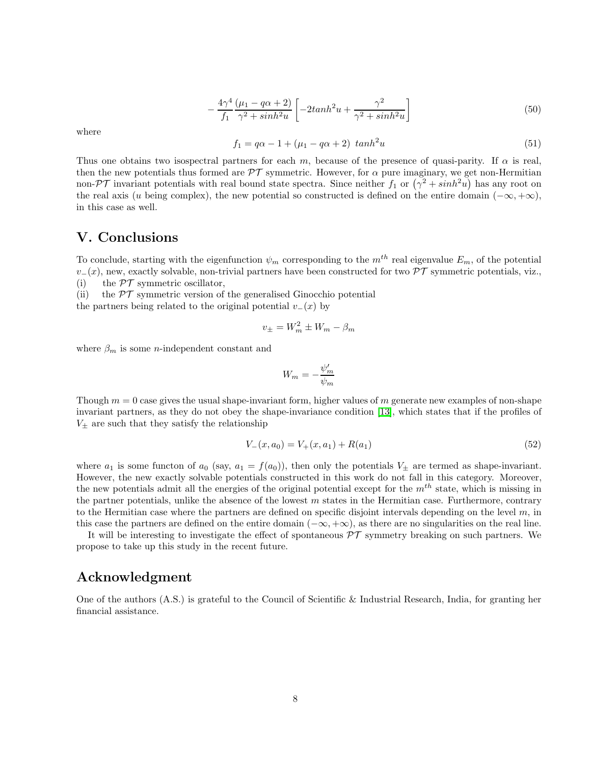$$
-\frac{4\gamma^4}{f_1}\frac{(\mu_1 - q\alpha + 2)}{\gamma^2 + \sinh^2 u} \left[ -2\tanh^2 u + \frac{\gamma^2}{\gamma^2 + \sinh^2 u} \right] \tag{50}
$$

where

$$
f_1 = q\alpha - 1 + (\mu_1 - q\alpha + 2) \tanh^2 u \tag{51}
$$

Thus one obtains two isospectral partners for each m, because of the presence of quasi-parity. If  $\alpha$  is real, then the new potentials thus formed are  $\mathcal{PT}$  symmetric. However, for  $\alpha$  pure imaginary, we get non-Hermitian non- $\mathcal{PT}$  invariant potentials with real bound state spectra. Since neither  $f_1$  or  $(\gamma^2 + sinh^2u)$  has any root on the real axis (u being complex), the new potential so constructed is defined on the entire domain  $(-\infty, +\infty)$ , in this case as well.

### V. Conclusions

To conclude, starting with the eigenfunction  $\psi_m$  corresponding to the  $m^{th}$  real eigenvalue  $E_m$ , of the potential  $v-(x)$ , new, exactly solvable, non-trivial partners have been constructed for two  $\mathcal{PT}$  symmetric potentials, viz., (i) the  $\mathcal{PT}$  symmetric oscillator,

(ii) the  $\mathcal{PT}$  symmetric version of the generalised Ginocchio potential

the partners being related to the original potential  $v_-(x)$  by

$$
v_{\pm} = W_m^2 \pm W_m - \beta_m
$$

where  $\beta_m$  is some *n*-independent constant and

$$
W_m = -\frac{\psi_m'}{\psi_m}
$$

Though  $m = 0$  case gives the usual shape-invariant form, higher values of m generate new examples of non-shape invariant partners, as they do not obey the shape-invariance condition [\[13\]](#page-8-12), which states that if the profiles of  $V_{\pm}$  are such that they satisfy the relationship

$$
V_{-}(x, a_0) = V_{+}(x, a_1) + R(a_1)
$$
\n<sup>(52)</sup>

where  $a_1$  is some functon of  $a_0$  (say,  $a_1 = f(a_0)$ ), then only the potentials  $V_{\pm}$  are termed as shape-invariant. However, the new exactly solvable potentials constructed in this work do not fall in this category. Moreover, the new potentials admit all the energies of the original potential except for the  $m^{th}$  state, which is missing in the partner potentials, unlike the absence of the lowest  $m$  states in the Hermitian case. Furthermore, contrary to the Hermitian case where the partners are defined on specific disjoint intervals depending on the level  $m$ , in this case the partners are defined on the entire domain  $(-\infty, +\infty)$ , as there are no singularities on the real line.

It will be interesting to investigate the effect of spontaneous  $\mathcal{PT}$  symmetry breaking on such partners. We propose to take up this study in the recent future.

#### Acknowledgment

One of the authors (A.S.) is grateful to the Council of Scientific & Industrial Research, India, for granting her financial assistance.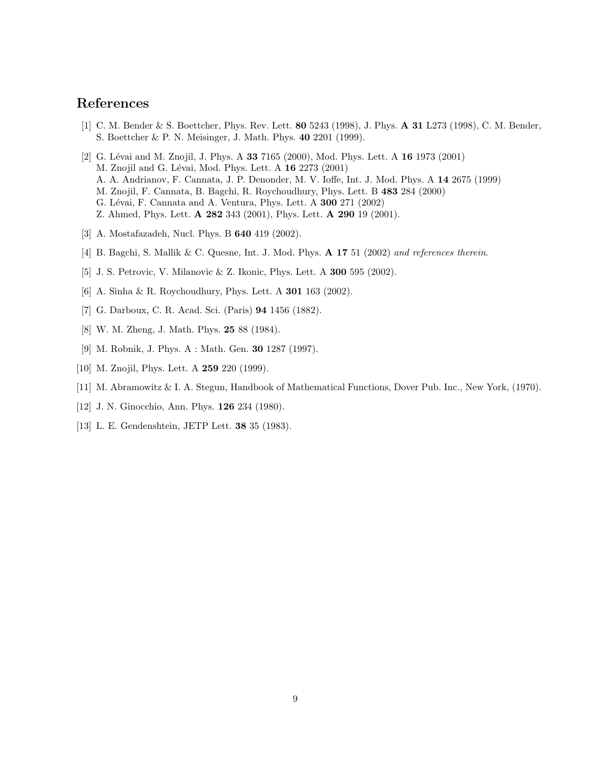# <span id="page-8-0"></span>References

- <span id="page-8-1"></span>[1] C. M. Bender & S. Boettcher, Phys. Rev. Lett. **80** 5243 (1998), J. Phys. **A 31** L273 (1998), C. M. Bender, S. Boettcher & P. N. Meisinger, J. Math. Phys. 40 2201 (1999).
- [2] G. Lévai and M. Znojil, J. Phys. A 33 7165 (2000), Mod. Phys. Lett. A 16 1973 (2001) M. Znojil and G. Lévai, Mod. Phys. Lett. A 16 2273 (2001) A. A. Andrianov, F. Cannata, J. P. Denonder, M. V. Ioffe, Int. J. Mod. Phys. A 14 2675 (1999) M. Znojil, F. Cannata, B. Bagchi, R. Roychoudhury, Phys. Lett. B 483 284 (2000) G. Lévai, F. Cannata and A. Ventura, Phys. Lett. A 300 271 (2002) Z. Ahmed, Phys. Lett. A 282 343 (2001), Phys. Lett. A 290 19 (2001).
- <span id="page-8-3"></span><span id="page-8-2"></span>[3] A. Mostafazadeh, Nucl. Phys. B 640 419 (2002).
- <span id="page-8-4"></span>[4] B. Bagchi, S. Mallik & C. Quesne, Int. J. Mod. Phys. **A 17** 51 (2002) and references therein.
- <span id="page-8-5"></span>[5] J. S. Petrovic, V. Milanovic & Z. Ikonic, Phys. Lett. A 300 595 (2002).
- <span id="page-8-6"></span>[6] A. Sinha & R. Roychoudhury, Phys. Lett. A 301 163 (2002).
- <span id="page-8-7"></span>[7] G. Darboux, C. R. Acad. Sci. (Paris) 94 1456 (1882).
- <span id="page-8-8"></span>[8] W. M. Zheng, J. Math. Phys. 25 88 (1984).
- [9] M. Robnik, J. Phys. A : Math. Gen. 30 1287 (1997).
- <span id="page-8-10"></span><span id="page-8-9"></span>[10] M. Znojil, Phys. Lett. A **259** 220 (1999).
- <span id="page-8-11"></span>[11] M. Abramowitz & I. A. Stegun, Handbook of Mathematical Functions, Dover Pub. Inc., New York, (1970).
- <span id="page-8-12"></span>[12] J. N. Ginocchio, Ann. Phys. 126 234 (1980).
- [13] L. E. Gendenshtein, JETP Lett. 38 35 (1983).